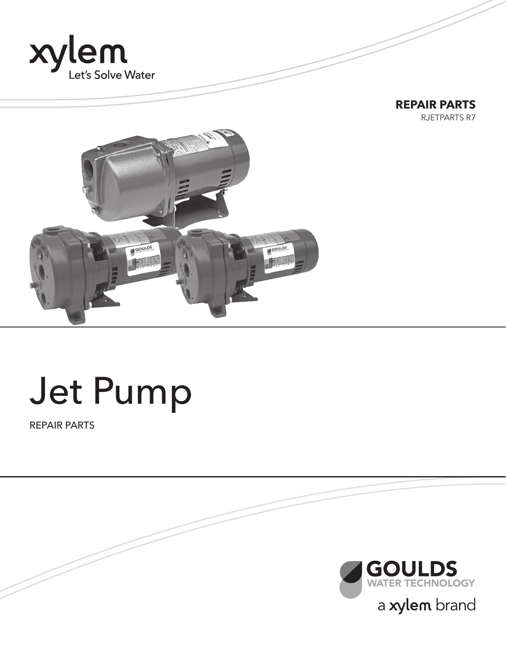





# Jet Pump

REPAIR PARTS

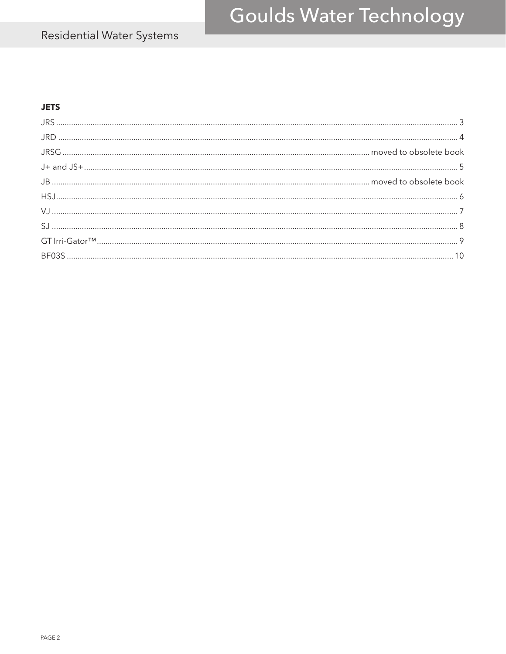## Residential Water Systems

#### **JETS**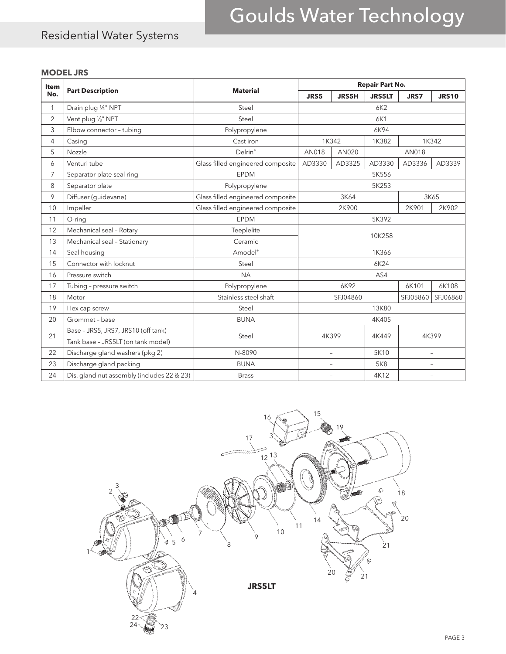### Residential Water Systems

#### **MODEL JRS**

| <b>Item</b>    |                                            | <b>Material</b>                   | <b>Repair Part No.</b>                                       |                          |               |             |                          |  |
|----------------|--------------------------------------------|-----------------------------------|--------------------------------------------------------------|--------------------------|---------------|-------------|--------------------------|--|
| No.            | <b>Part Description</b>                    |                                   | JRS5                                                         | <b>JRS5H</b>             | <b>JRS5LT</b> | <b>JRS7</b> | <b>JRS10</b>             |  |
| 1              | Drain plug 1/4" NPT                        | Steel                             | 6K2                                                          |                          |               |             |                          |  |
| $\overline{2}$ | Vent plug 1/8" NPT                         | Steel                             |                                                              |                          | 6K1           |             |                          |  |
| 3              | Elbow connector - tubing                   | Polypropylene                     |                                                              |                          | 6K94          |             |                          |  |
| 4              | Casing                                     | Cast iron                         |                                                              | 1K342                    | 1K382         |             | 1K342                    |  |
| 5              | Nozzle                                     | Delrin®                           | AN018                                                        | AN020                    |               | AN018       |                          |  |
| 6              | Venturi tube                               | Glass filled engineered composite | AD3330                                                       | AD3325                   | AD3330        | AD3336      | AD3339                   |  |
| 7              | Separator plate seal ring                  | <b>EPDM</b>                       |                                                              |                          | 5K556         |             |                          |  |
| 8              | Separator plate                            | Polypropylene                     |                                                              |                          | 5K253         |             |                          |  |
| 9              | Diffuser (guidevane)                       | Glass filled engineered composite |                                                              | 3K64                     |               |             | 3K65                     |  |
| 10             | Impeller                                   | Glass filled engineered composite | 2K900                                                        |                          |               | 2K901       | 2K902                    |  |
| 11             | O-ring                                     | <b>EPDM</b>                       | 5K392                                                        |                          |               |             |                          |  |
| 12             | Mechanical seal - Rotary                   | Teeplelite                        | 10K258                                                       |                          |               |             |                          |  |
| 13             | Mechanical seal - Stationary               | Ceramic                           |                                                              |                          |               |             |                          |  |
| 14             | Seal housing                               | Amodel <sup>®</sup>               | 1K366                                                        |                          |               |             |                          |  |
| 15             | Connector with locknut                     | Steel                             | 6K24                                                         |                          |               |             |                          |  |
| 16             | Pressure switch                            | <b>NA</b>                         |                                                              |                          | AS4           |             |                          |  |
| 17             | Tubing - pressure switch                   | Polypropylene                     |                                                              | 6K92                     |               | 6K101       | 6K108                    |  |
| 18             | Motor                                      | Stainless steel shaft             |                                                              | SFJ04860                 |               | SFJ05860    | SFJ06860                 |  |
| 19             | Hex cap screw                              | Steel                             |                                                              |                          | 13K80         |             |                          |  |
| 20             | Grommet - base                             | <b>BUNA</b>                       | 4K405                                                        |                          |               |             |                          |  |
| 21             | Base - JRS5, JRS7, JRS10 (off tank)        | Steel                             |                                                              | 4K399                    | 4K449         |             | 4K399                    |  |
|                | Tank base - JRS5LT (on tank model)         |                                   |                                                              |                          |               |             |                          |  |
| 22             | Discharge gland washers (pkg 2)            | N-8090                            |                                                              | $\overline{\phantom{0}}$ | 5K10          |             | $\overline{\phantom{a}}$ |  |
| 23             | Discharge gland packing                    | <b>BUNA</b>                       |                                                              | ÷.                       | <b>5K8</b>    |             | ÷,                       |  |
| 24             | Dis. gland nut assembly (includes 22 & 23) | <b>Brass</b>                      | 4K12<br>$\overline{\phantom{0}}$<br>$\overline{\phantom{a}}$ |                          |               |             |                          |  |

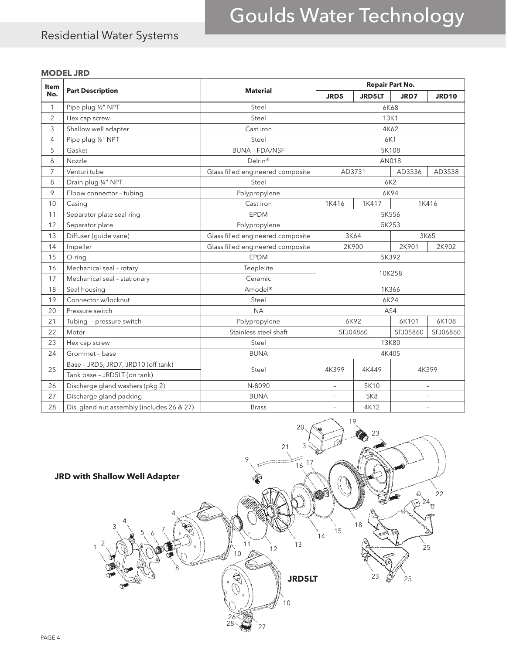### Residential Water Systems

#### **MODEL JRD**

| Item           |                                            |                                   |                          |               | <b>Repair Part No.</b> |                          |
|----------------|--------------------------------------------|-----------------------------------|--------------------------|---------------|------------------------|--------------------------|
| No.            | <b>Part Description</b>                    | <b>Material</b>                   | JRD5                     | <b>JRD5LT</b> | JRD7                   | <b>JRD10</b>             |
| 1              | Pipe plug 1/2" NPT                         | Steel                             | 6K68                     |               |                        |                          |
| $\overline{2}$ | Hex cap screw                              | Steel                             |                          | 13K1          |                        |                          |
| 3              | Shallow well adapter                       | Cast iron                         |                          |               | 4K62                   |                          |
| 4              | Pipe plug 1/8" NPT                         | Steel                             |                          | 6K1           |                        |                          |
| 5              | Gasket                                     | <b>BUNA - FDA/NSF</b>             |                          |               | 5K108                  |                          |
| 6              | Nozzle                                     | Delrin®                           |                          |               | AN018                  |                          |
| 7              | Venturi tube                               | Glass filled engineered composite |                          | AD3731        | AD3536                 | AD3538                   |
| 8              | Drain plug 1/4" NPT                        | Steel                             |                          |               | 6K2                    |                          |
| 9              | Elbow connector - tubing                   | Polypropylene                     |                          |               | 6K94                   |                          |
| 10             | Casing                                     | Cast iron                         | 1K416                    | 1K417         |                        | 1K416                    |
| 11             | Separator plate seal ring                  | EPDM                              | 5K556                    |               |                        |                          |
| 12             | Separator plate                            | Polypropylene                     |                          |               | 5K253                  |                          |
| 13             | Diffuser (guide vane)                      | Glass filled engineered composite | 3K64<br>3K65             |               |                        |                          |
| 14             | Impeller                                   | Glass filled engineered composite |                          | 2K900         | 2K901<br>2K902         |                          |
| 15             | O-ring                                     | <b>EPDM</b>                       | 5K392                    |               |                        |                          |
| 16             | Mechanical seal - rotary                   | Teeplelite                        | 10K258                   |               |                        |                          |
| 17             | Mechanical seal - stationary               | Ceramic                           |                          |               |                        |                          |
| 18             | Seal housing                               | Amodel <sup>®</sup>               |                          |               | 1K366                  |                          |
| 19             | Connector w/locknut                        | Steel                             |                          |               | 6K24                   |                          |
| 20             | Pressure switch                            | <b>NA</b>                         |                          |               | AS4                    |                          |
| 21             | Tubing - pressure switch                   | Polypropylene                     |                          | 6K92          | 6K101                  | 6K108                    |
| 22             | Motor                                      | Stainless steel shaft             |                          | SFJ04860      | SFJ05860<br>SFJ06860   |                          |
| 23             | Hex cap screw                              | Steel                             | 13K80                    |               |                        |                          |
| 24             | Grommet - base                             | <b>BUNA</b>                       | 4K405                    |               |                        |                          |
| 25             | Base - JRD5, JRD7, JRD10 (off tank)        |                                   | 4K399                    |               |                        |                          |
|                | Tank base - JRD5LT (on tank)               | 4K399<br>Steel<br>4K449           |                          |               |                        |                          |
| 26             | Discharge gland washers (pkg 2)            | N-8090                            |                          | 5K10          |                        | $\overline{\phantom{0}}$ |
| 27             | Discharge gland packing                    | <b>BUNA</b>                       | $\overline{\phantom{a}}$ | <b>5K8</b>    |                        |                          |
| 28             | Dis. gland nut assembly (includes 26 & 27) | <b>Brass</b>                      | $\sim$                   | 4K12          |                        |                          |

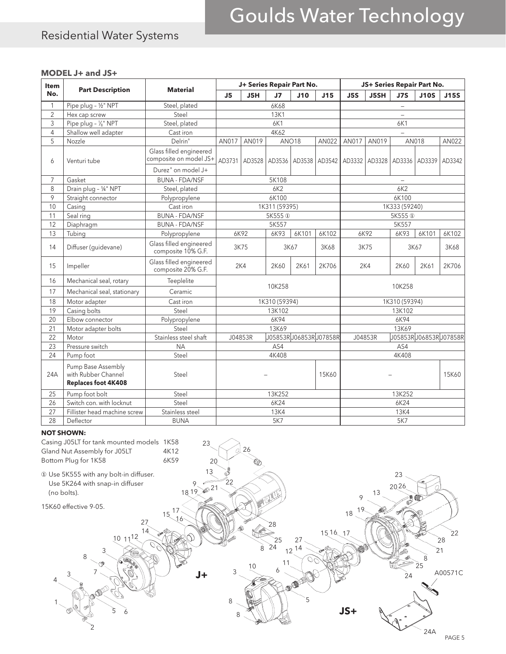### Residential Water Systems

#### **MODEL J+ and JS+**

| Item           | <b>Part Description</b>                                                 | <b>Material</b>                                   |                       | J+ Series Repair Part No. |                    |       |                       |                 |              |                          | JS+ Series Repair Part No.        |        |
|----------------|-------------------------------------------------------------------------|---------------------------------------------------|-----------------------|---------------------------|--------------------|-------|-----------------------|-----------------|--------------|--------------------------|-----------------------------------|--------|
| No.            |                                                                         |                                                   | J5H<br>J <sub>5</sub> |                           | J <sub>7</sub>     | J10   | J15                   | J <sub>5S</sub> | <b>J5SH</b>  | J7S                      | <b>J10S</b>                       | J15S   |
| 1              | Pipe plug - 1/2" NPT                                                    | Steel, plated                                     |                       |                           | 6K68               |       |                       |                 |              | $\overline{\phantom{0}}$ |                                   |        |
| $\overline{2}$ | Hex cap screw                                                           | Steel                                             |                       |                           | <b>13K1</b>        |       |                       |                 |              | $\equiv$                 |                                   |        |
| 3              | Pipe plug - 1/8" NPT                                                    | Steel, plated                                     |                       |                           | 6K1                |       |                       |                 |              | 6K1                      |                                   |        |
| 4              | Shallow well adapter                                                    | Cast iron                                         |                       |                           | 4K62               |       |                       |                 |              |                          |                                   |        |
| 5              | Nozzle                                                                  | Delrin®                                           | AN017                 | AN019                     |                    | ANO18 | AN022                 | AN017           | AN019        |                          | AN018                             | AN022  |
| 6              | Venturi tube                                                            | Glass filled engineered<br>composite on model JS+ | AD3731                | AD3528                    | AD3536             |       | AD3538   AD3542       |                 |              |                          | AD3332   AD3328   AD3336   AD3339 | AD3342 |
|                |                                                                         | Durez <sup>®</sup> on model J+                    |                       |                           |                    |       |                       |                 |              |                          |                                   |        |
| $\overline{7}$ | Gasket                                                                  | <b>BUNA - FDA/NSF</b>                             |                       |                           | 5K108              |       |                       |                 |              | $\overline{\phantom{0}}$ |                                   |        |
| 8              | Drain plug - 1/4" NPT                                                   | Steel, plated                                     |                       |                           | 6K2                |       |                       |                 |              | 6K2                      |                                   |        |
| 9              | Straight connector                                                      | Polypropylene                                     |                       |                           | 6K100              |       |                       |                 |              | 6K100                    |                                   |        |
| 10             | Casing                                                                  | Cast iron                                         |                       |                           | 1K311 (59395)      |       |                       |                 |              | 1K333 (59240)            |                                   |        |
| 11             | Seal ring                                                               | <b>BUNA - FDA/NSF</b>                             |                       |                           | 5K555 <sup>1</sup> |       |                       |                 |              | 5K555 <sup>1</sup>       |                                   |        |
| 12             | Diaphragm                                                               | <b>BUNA - FDA/NSF</b>                             |                       |                           | 5K557              |       |                       |                 |              | 5K557                    |                                   |        |
| 13             | Tubing                                                                  | Polypropylene                                     |                       | 6K92                      | 6K93               | 6K101 | 6K102                 |                 | 6K92         | 6K93                     | 6K101                             | 6K102  |
| 14             | Diffuser (guidevane)                                                    | Glass filled engineered<br>composite 10% G.F.     |                       | 3K75                      | 3K67               |       | 3K68                  | 3K75            |              |                          | 3K67<br>3K68                      |        |
| 15             | Impeller                                                                | Glass filled engineered<br>composite 20% G.F.     |                       | 2K4                       | 2K60               | 2K61  | 2K706                 |                 | 2K4          | 2K60                     | 2K61                              | 2K706  |
| 16             | Mechanical seal, rotary                                                 | Teeplelite                                        | 10K258<br>10K258      |                           |                    |       |                       |                 |              |                          |                                   |        |
| 17             | Mechanical seal, stationary                                             | Ceramic                                           |                       |                           |                    |       |                       |                 |              |                          |                                   |        |
| 18             | Motor adapter                                                           | Cast iron                                         |                       |                           | 1K310 (59394)      |       |                       | 1K310 (59394)   |              |                          |                                   |        |
| 19             | Casing bolts                                                            | Steel                                             |                       |                           | 13K102             |       |                       | 13K102          |              |                          |                                   |        |
| 20             | Elbow connector                                                         | Polypropylene                                     |                       |                           | 6K94               |       |                       |                 |              | 6K94                     |                                   |        |
| 21             | Motor adapter bolts                                                     | Steel                                             |                       |                           | 13K69              |       |                       |                 |              | 13K69                    |                                   |        |
| 22             | Motor                                                                   | Stainless steel shaft                             |                       | J04853R                   |                    |       | J05853RJ06853RJ07858R |                 | J04853R      |                          | J05853RJ06853RJ07858R             |        |
| 23             | Pressure switch                                                         | <b>NA</b>                                         |                       |                           | AS4                |       |                       |                 |              | AS4                      |                                   |        |
| 24             | Pump foot                                                               | Steel                                             |                       |                           | 4K408              |       |                       | 4K408           |              |                          |                                   |        |
| 24A            | Pump Base Assembly<br>with Rubber Channel<br><b>Replaces foot 4K408</b> | Steel                                             | 15K60                 |                           |                    |       |                       |                 | <b>15K60</b> |                          |                                   |        |
| 25             | Pump foot bolt                                                          | Steel                                             |                       |                           | 13K252             |       |                       |                 |              | 13K252                   |                                   |        |
| 26             | Switch con. with locknut                                                | Steel                                             | 6K24<br>6K24          |                           |                    |       |                       |                 |              |                          |                                   |        |
| 27             | Fillister head machine screw                                            | Stainless steel                                   |                       |                           | <b>13K4</b>        |       |                       |                 |              | <b>13K4</b>              |                                   |        |
| 28             | Deflector                                                               | <b>BUNA</b>                                       | 5K7                   |                           |                    |       |                       | 5K7             |              |                          |                                   |        |

#### **NOT SHOWN:**

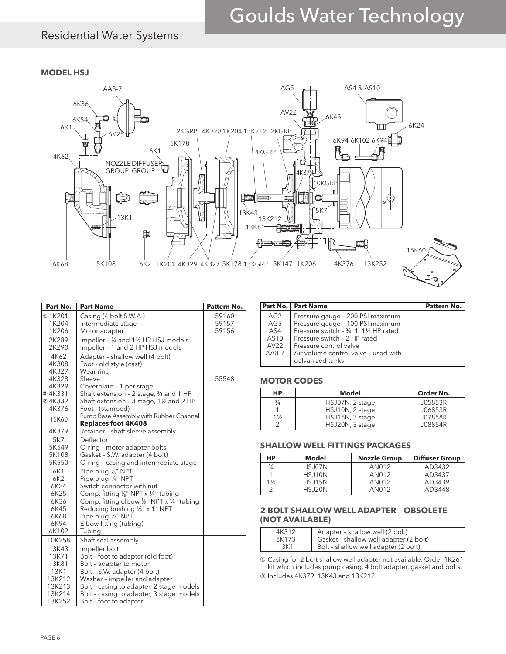### Residential Water Systems

**MODEL HSJ**



| Part No.       | <b>Part Name</b>                                  | Pattern No. |
|----------------|---------------------------------------------------|-------------|
| $\omega$ 1K201 | Casing (4 bolt S.W.A.)                            | 59160       |
| 1K204          | Intermediate stage                                | 59157       |
| 1K206          | Motor adapter                                     | 59156       |
| 2K289          | Impeller - 3/4 and 11/2 HP HSJ models             |             |
| 2K290          | Impeller - 1 and 2 HP HSJ models                  |             |
| 4K62           | Adapter - shallow well (4 bolt)                   |             |
| 4K308          | Foot - old style (cast)                           |             |
| 4K327          | Wear ring                                         |             |
| 4K328          | Sleeve                                            | 55548       |
| 4K329          | Coverplate - 1 per stage                          |             |
| @4K331         | Shaft extension - 2 stage, 3/4 and 1 HP           |             |
| 24K332         | Shaft extension - 3 stage, 11/2 and 2 HP          |             |
| 4K376          | Foot - (stamped)                                  |             |
| 15K60          | Pump Base Assembly with Rubber Channel            |             |
|                | <b>Replaces foot 4K408</b>                        |             |
| 4K379          | Retainer - shaft sleeve assembly                  |             |
| 5K7            | Deflector                                         |             |
| 5K549          | O-ring - motor adapter bolts                      |             |
| 5K108<br>5K550 | Gasket - S.W. adapter (4 bolt)                    |             |
|                | O-ring - casing and intermediate stage            |             |
| 6K1            | Pipe plug 1/8" NPT                                |             |
| 6K2<br>6K24    | Pipe plug 1/4" NPT<br>Switch connector with nut   |             |
| 6K25           | Comp. fitting 1/ <sub>8</sub> " NPT x 1/4" tubing |             |
| 6K36           | Comp. fitting elbow 1/8" NPT x 1/4" tubing        |             |
| 6K45           | Reducing bushing 1/4" x 1" NPT                    |             |
| 6K68           | Pipe plug 1/2" NPT                                |             |
| 6K94           | Elbow fitting (tubing)                            |             |
| 6K102          | Tubing                                            |             |
| 10K258         | Shaft seal assembly                               |             |
| 13K43          | Impeller bolt                                     |             |
| 13K71          | Bolt - foot to adapter (old foot)                 |             |
| 13K81          | Bolt - adapter to motor                           |             |
| 13K1           | Bolt - S.W. adapter (4 bolt)                      |             |
| 13K212         | Washer - impeller and adapter                     |             |
| 13K213         | Bolt - casing to adapter, 2 stage models          |             |
| 13K214         | Bolt - casing to adapter, 3 stage models          |             |
| 13K252         | Bolt - foot to adapter                            |             |

|                                   | Part No.   Part Name                                                                                                                                                      | Pattern No. |
|-----------------------------------|---------------------------------------------------------------------------------------------------------------------------------------------------------------------------|-------------|
| AG2<br>AG5<br>AS4<br>AS10<br>AV22 | Pressure gauge - 200 PSI maximum<br>Pressure gauge - 100 PSI maximum<br>Pressure switch - 3/4, 1, 11/2 HP rated<br>Pressure switch - 2 HP rated<br>Pressure control valve |             |
| $AAB-7$                           | Air volume control valve - used with<br>galvanized tanks                                                                                                                  |             |

#### **MOTOR CODES**

| HP             | Model           | Order No. |
|----------------|-----------------|-----------|
| $\frac{3}{4}$  | HSJ07N, 2 stage | J05853R   |
|                | HSJ10N, 2 stage | J06853R   |
| $1\frac{1}{2}$ | HSJ15N, 3 stage | J07858R   |
| ⌒              | HSJ20N, 3 stage | J08854R   |

#### **SHALLOW WELL FITTINGS PACKAGES**

| HP.           | Model         | <b>Nozzle Group</b> | <b>Diffuser Group</b> |
|---------------|---------------|---------------------|-----------------------|
| $\frac{3}{4}$ | HSJ07N        | AN012               | AD3432                |
|               | HSJ10N        | AN012               | AD3437                |
| 1½            | <b>HSJ15N</b> | AN012               | AD3439                |
|               | <b>HSJ20N</b> | AN012               | AD3448                |

#### **2 BOLT SHALLOW WELL ADAPTER – OBSOLETE (NOT AVAILABLE)**

| 4K312 | Adapter - shallow well (2 bolt)        |
|-------|----------------------------------------|
| 5K173 | Gasket - shallow well adapter (2 bolt) |
| 13K1  | Bolt - shallow well adapter (2 bolt)   |
|       |                                        |

① Casing for 2 bolt shallow well adapter not available. Order 1K261 kit which includes pump casing, 4 bolt adapter, gasket and bolts. ② Includes 4K379, 13K43 and 13K212.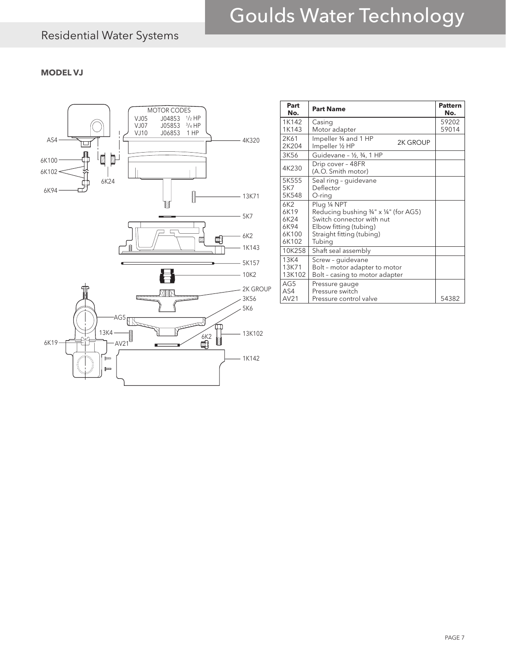### Residential Water Systems

#### **MODEL VJ**



| Part<br>No.                                               | <b>Part Name</b>                                                                                                                                     | <b>Pattern</b><br>No. |
|-----------------------------------------------------------|------------------------------------------------------------------------------------------------------------------------------------------------------|-----------------------|
| 1K142<br>1K143                                            | Casing<br>Motor adapter                                                                                                                              | 59202<br>59014        |
| <b>2K61</b><br>2K204                                      | Impeller 3/4 and 1 HP<br>2K GROUP<br>Impeller 1/2 HP                                                                                                 |                       |
| 3K56                                                      | Guidevane - 1/2, 3/4, 1 HP                                                                                                                           |                       |
| 4K230                                                     | Drip cover - 48FR<br>(A.O. Smith motor)                                                                                                              |                       |
| 5K555<br>5K7<br>5K548                                     | Seal ring - guidevane<br>Deflector<br>O-ring                                                                                                         |                       |
| 6K <sub>2</sub><br>6K19<br>6K24<br>6K94<br>6K100<br>6K102 | Plug 1/4 NPT<br>Reducing bushing 3/4" x 1/4" (for AG5)<br>Switch connector with nut<br>Elbow fitting (tubing)<br>Straight fitting (tubing)<br>Tubing |                       |
| 10K258                                                    | Shaft seal assembly                                                                                                                                  |                       |
| 13K4<br>13K71<br>13K102                                   | Screw - guidevane<br>Bolt - motor adapter to motor<br>Bolt - casing to motor adapter                                                                 |                       |
| AG5<br>AS4<br>AV21                                        | Pressure gauge<br>Pressure switch<br>Pressure control valve                                                                                          | 54382                 |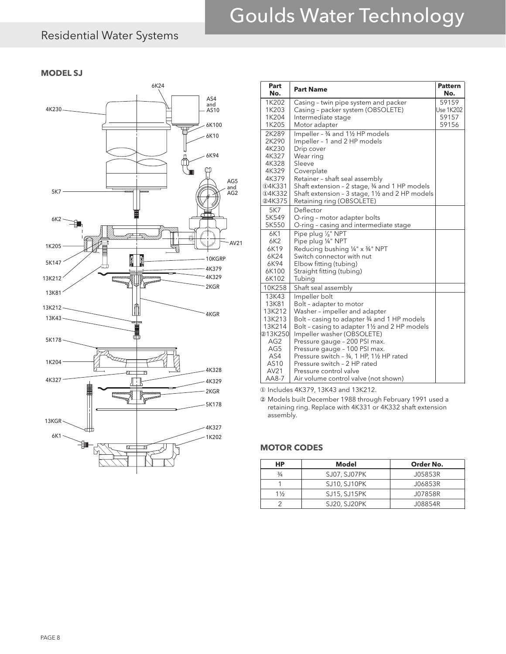### Residential Water Systems

#### **MODEL SJ**



| 6K24            | Part<br>No.     | <b>Part Name</b>                              | <b>Pattern</b><br>No. |
|-----------------|-----------------|-----------------------------------------------|-----------------------|
| AS4             | 1K202           | Casing - twin pipe system and packer          | 59159                 |
| and<br>AS10     | 1K203           | Casing - packer system (OBSOLETE)             | <b>Use 1K202</b>      |
|                 | 1K204           | Intermediate stage                            | 59157                 |
| 6K100           | 1K205           | Motor adapter                                 | 59156                 |
| ſП<br>6K10      | 2K289           | Impeller - 3/4 and 11/2 HP models             |                       |
|                 | 2K290           | Impeller - 1 and 2 HP models                  |                       |
|                 | 4K230           | Drip cover                                    |                       |
| 6K94            | 4K327           | Wear ring                                     |                       |
|                 | 4K328           | Sleeve                                        |                       |
|                 | 4K329           | Coverplate                                    |                       |
| AG5             | 4K379           | Retainer - shaft seal assembly                |                       |
| and             | <b>104K331</b>  | Shaft extension - 2 stage, 34 and 1 HP models |                       |
| AG <sub>2</sub> | <b>14K332</b>   | Shaft extension - 3 stage, 1½ and 2 HP models |                       |
|                 | 24K375          | Retaining ring (OBSOLETE)                     |                       |
|                 | 5K7             | Deflector                                     |                       |
|                 | 5K549           | O-ring - motor adapter bolts                  |                       |
|                 | 5K550           | O-ring - casing and intermediate stage        |                       |
|                 | 6K1             | Pipe plug 1/8" NPT                            |                       |
| AV21            | 6K2             | Pipe plug 1/4" NPT                            |                       |
|                 | 6K19            | Reducing bushing 1/4" x 3/4" NPT              |                       |
|                 | 6K24            | Switch connector with nut                     |                       |
| 10KGRP          | 6K94            | Elbow fitting (tubing)                        |                       |
| 4K379           | 6K100           | Straight fitting (tubing)                     |                       |
| 4K329<br>$\sim$ | 6K102           | Tubing                                        |                       |
| 2KGR            | 10K258          | Shaft seal assembly                           |                       |
|                 | 13K43           | Impeller bolt                                 |                       |
|                 | 13K81           | Bolt - adapter to motor                       |                       |
| 4KGR            | 13K212          | Washer - impeller and adapter                 |                       |
|                 | 13K213          | Bolt - casing to adapter 34 and 1 HP models   |                       |
|                 | 13K214          | Bolt - casing to adapter 11/2 and 2 HP models |                       |
|                 | 213K250         | Impeller washer (OBSOLETE)                    |                       |
|                 | AG <sub>2</sub> | Pressure gauge - 200 PSI max.                 |                       |
|                 | AG5             | Pressure gauge - 100 PSI max.                 |                       |
|                 | AS4             | Pressure switch - 34, 1 HP, 11/2 HP rated     |                       |
|                 | AS10            | Pressure switch - 2 HP rated                  |                       |
| 4K328           | AV21            | Pressure control valve                        |                       |
| 4K329           | $AAB-7$         | Air volume control valve (not shown)          |                       |

① Includes 4K379, 13K43 and 13K212.

② Models built December 1988 through February 1991 used a retaining ring. Replace with 4K331 or 4K332 shaft extension assembly.

#### **MOTOR CODES**

| НP             | Model        | Order No. |
|----------------|--------------|-----------|
| $\frac{3}{4}$  | SJ07, SJ07PK | J05853R   |
|                | SJ10, SJ10PK | J06853R   |
| $1\frac{1}{2}$ | SJ15, SJ15PK | J07858R   |
|                | SJ20, SJ20PK | J08854R   |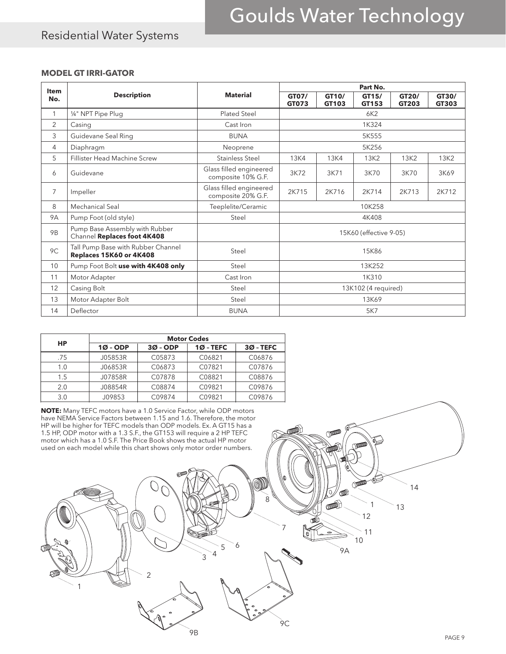### Residential Water Systems

#### **MODEL GT IRRI-GATOR**

| <b>Item</b>    |                                                               |                                               | Part No.               |                |                |                |                |
|----------------|---------------------------------------------------------------|-----------------------------------------------|------------------------|----------------|----------------|----------------|----------------|
| No.            | <b>Description</b>                                            | <b>Material</b>                               | GT07/<br>GT073         | GT10/<br>GT103 | GT15/<br>GT153 | GT20/<br>GT203 | GT30/<br>GT303 |
| $\mathbf{1}$   | 1/4" NPT Pipe Plug                                            | Plated Steel                                  | 6K2                    |                |                |                |                |
| 2              | Casing                                                        | Cast Iron                                     | 1K324                  |                |                |                |                |
| 3              | Guidevane Seal Ring                                           | <b>BUNA</b>                                   | 5K555                  |                |                |                |                |
| 4              | Diaphragm                                                     | Neoprene                                      | 5K256                  |                |                |                |                |
| 5              | <b>Fillister Head Machine Screw</b>                           | <b>Stainless Steel</b>                        | <b>13K4</b>            | <b>13K4</b>    | 13K2           | 13K2           | 13K2           |
| 6              | Guidevane                                                     | Glass filled engineered<br>composite 10% G.F. | 3K72                   | 3K71           | 3K70           | 3K70           | 3K69           |
| $\overline{7}$ | Impeller                                                      | Glass filled engineered<br>composite 20% G.F. | 2K715                  | 2K716          | 2K714          | 2K713          | 2K712          |
| 8              | Mechanical Seal                                               | Teeplelite/Ceramic                            | 10K258                 |                |                |                |                |
| <b>9A</b>      | Pump Foot (old style)                                         | Steel                                         | 4K408                  |                |                |                |                |
| <b>9B</b>      | Pump Base Assembly with Rubber<br>Channel Replaces foot 4K408 |                                               | 15K60 (effective 9-05) |                |                |                |                |
| 9C             | Tall Pump Base with Rubber Channel<br>Replaces 15K60 or 4K408 | Steel                                         | 15K86                  |                |                |                |                |
| 10             | Pump Foot Bolt use with 4K408 only                            | Steel                                         | 13K252                 |                |                |                |                |
| 11             | Motor Adapter                                                 | Cast Iron                                     | 1K310                  |                |                |                |                |
| 12             | Casing Bolt                                                   | Steel                                         | 13K102 (4 required)    |                |                |                |                |
| 13             | Motor Adapter Bolt                                            | Steel                                         | 13K69                  |                |                |                |                |
| 14             | Deflector                                                     | <b>BUNA</b>                                   | 5K7                    |                |                |                |                |

|     | <b>Motor Codes</b> |            |             |             |  |
|-----|--------------------|------------|-------------|-------------|--|
| HP  | $10 - ODP$         | $30 - ODP$ | $10 - TEFC$ | $30 - TEFC$ |  |
| .75 | J05853R            | C05873     | C06821      | C06876      |  |
| 1.0 | J06853R            | C06873     | C07821      | C07876      |  |
| 1.5 | J07858R            | C07878     | C08821      | C08876      |  |
| 2.0 | J08854R            | C08874     | C09821      | C09876      |  |
| 3.0 | J09853             | C09874     | C09821      | C09876      |  |

**NOTE:** Many TEFC motors have a 1.0 Service Factor, while ODP motors have NEMA Service Factors between 1.15 and 1.6. Therefore, the motor HP will be higher for TEFC models than ODP models. Ex. A GT15 has a 1.5 HP, ODP motor with a 1.3 S.F., the GT153 will require a 2 HP TEFC motor which has a 1.0 S.F. The Price Book shows the actual HP motor used on each model while this chart shows only motor order numbers.

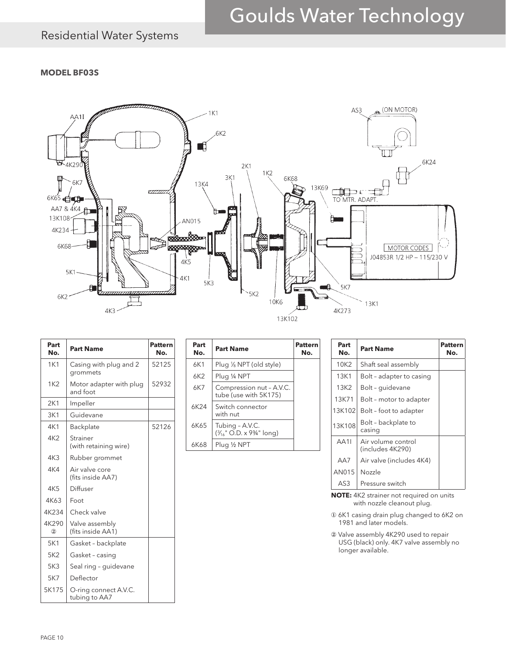### Residential Water Systems

#### **MODEL BF03S**



| Part<br>No.     | <b>Part Name</b>                       | <b>Pattern</b><br>No. |
|-----------------|----------------------------------------|-----------------------|
| 1K1             | Casing with plug and 2<br>grommets     | 52125                 |
| 1K2             | Motor adapter with plug<br>and foot    | 52932                 |
| 2K1             | Impeller                               |                       |
| 3K1             | Guidevane                              |                       |
| 4K1             | Backplate                              | 52126                 |
| 4K2             | Strainer<br>(with retaining wire)      |                       |
| 4K3             | Rubber grommet                         |                       |
| 4K4             | Air valve core<br>(fits inside AA7)    |                       |
| 4K <sub>5</sub> | Diffuser                               |                       |
| 4K63            | Foot                                   |                       |
| 4K234           | Check valve                            |                       |
| 4K290<br>(2)    | Valve assembly<br>(fits inside AA1)    |                       |
| 5K1             | Gasket - backplate                     |                       |
| 5K2             | Gasket - casing                        |                       |
| 5K3             | Seal ring - guidevane                  |                       |
| 5K7             | Deflector                              |                       |
| 5K175           | O-ring connect A.V.C.<br>tubing to AA7 |                       |

| Part<br>No. | <b>Part Name</b>                                  | Patter<br>No. |
|-------------|---------------------------------------------------|---------------|
| 6K1         | Plug 1/8 NPT (old style)                          |               |
| 6K2         | Plug ¼ NPT                                        |               |
| 6K7         | Compression nut - A.V.C.<br>tube (use with 5K175) |               |
| 6K24        | Switch connector<br>with nut                      |               |
| 6K65        | Tubing - A.V.C.<br>(3/16" O.D. x 93/4" long)      |               |
| 6K68        | Plug ½ NPT                                        |               |
|             |                                                   |               |

| Part<br>No. | <b>Part Name</b>                       | Pattern<br>No. |
|-------------|----------------------------------------|----------------|
| 10K2        | Shaft seal assembly                    |                |
| 13K1        | Bolt - adapter to casing               |                |
| 13K2        | Bolt - quidevane                       |                |
| 13K71       | Bolt - motor to adapter                |                |
| 13K102      | Bolt - foot to adapter                 |                |
| 13K108      | Bolt - backplate to<br>casing          |                |
| AA11        | Air volume control<br>(includes 4K290) |                |
| AA7         | Air valve (includes 4K4)               |                |
| AN015       | Nozzle                                 |                |
| AS3         | Pressure switch                        |                |

**NOTE:** 4K2 strainer not required on units with nozzle cleanout plug.

① 6K1 casing drain plug changed to 6K2 on 1981 and later models.

② Valve assembly 4K290 used to repair USG (black) only. 4K7 valve assembly no longer available.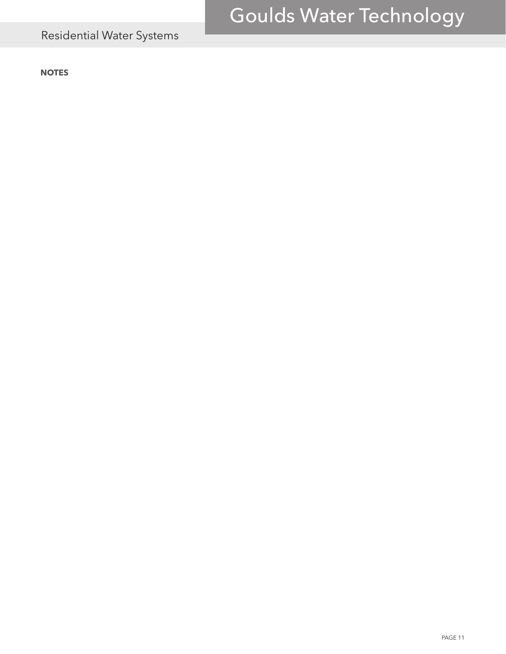## Residential Water Systems

**NOTES**